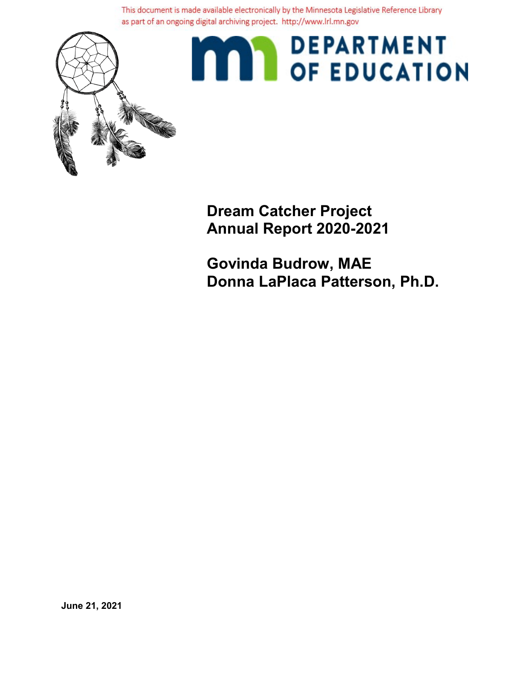This document is made available electronically by the Minnesota Legislative Reference Library as part of an ongoing digital archiving project. http://www.lrl.mn.gov



# **MAY DEPARTMENT**

**Dream Catcher Project Annual Report 2020-2021**

**Govinda Budrow, MAE Donna LaPlaca Patterson, Ph.D.**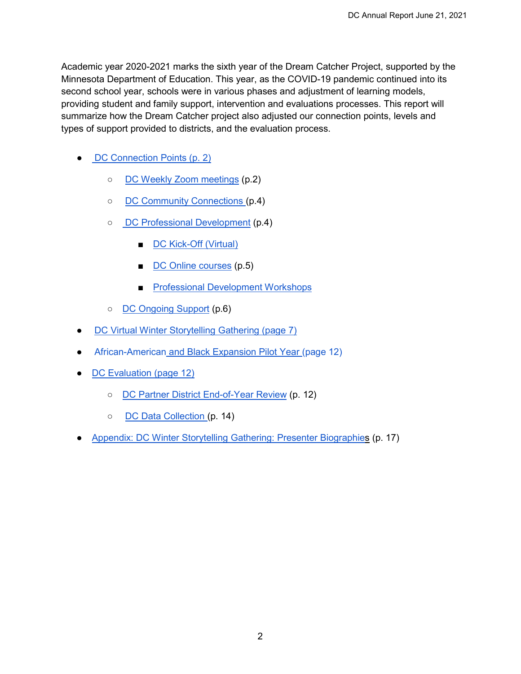Academic year 2020-2021 marks the sixth year of the Dream Catcher Project, supported by the Minnesota Department of Education. This year, as the COVID-19 pandemic continued into its second school year, schools were in various phases and adjustment of learning models, providing student and family support, intervention and evaluations processes. This report will summarize how the Dream Catcher project also adjusted our connection points, levels and types of support provided to districts, and the evaluation process.

- [DC Connection Points \(p. 2\)](#page-2-0)
	- DC Weekly [Zoom meetings](#page-2-1) (p.2)
	- [DC Community Connections \(](#page-3-0)p.4)
	- [DC Professional Development](#page-4-0) (p.4)
		- [DC Kick-Off \(Virtual\)](#page-4-1)
		- [DC Online courses](#page-5-0) (p.5)
		- [Professional Development Workshops](#page-6-0)
	- [DC Ongoing Support](#page-6-1) (p.6)
- [DC Virtual Winter Storytelling Gathering \(page 7\)](#page-6-2)
- African-American [and Black Expansion Pilot Year \(page 12\)](#page-11-0)
- [DC Evaluation \(page 12\)](#page-11-1)
	- [DC Partner District End-of-Year Review](#page-11-2) (p. 12)
	- [DC Data Collection \(](#page-13-0)p. 14)
- [Appendix: DC Winter Storytelling Gathering: Presenter Biographies](#page-15-0) (p. 17)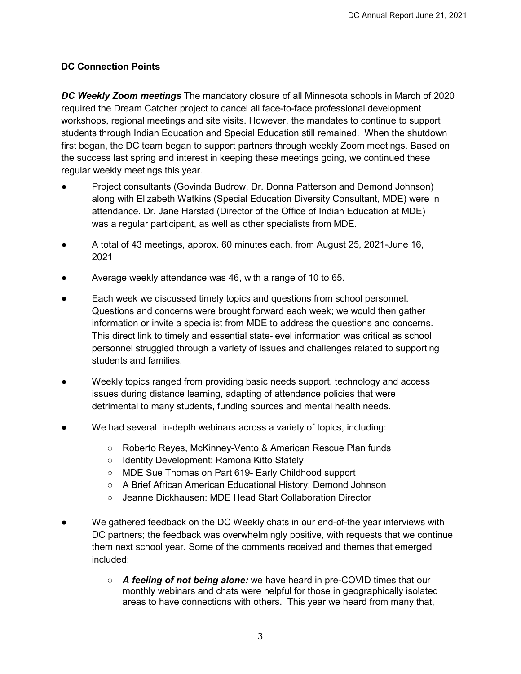# <span id="page-2-1"></span><span id="page-2-0"></span>**DC Connection Points**

*DC Weekly Zoom meetings* The mandatory closure of all Minnesota schools in March of 2020 required the Dream Catcher project to cancel all face-to-face professional development workshops, regional meetings and site visits. However, the mandates to continue to support students through Indian Education and Special Education still remained. When the shutdown first began, the DC team began to support partners through weekly Zoom meetings. Based on the success last spring and interest in keeping these meetings going, we continued these regular weekly meetings this year.

- Project consultants (Govinda Budrow, Dr. Donna Patterson and Demond Johnson) along with Elizabeth Watkins (Special Education Diversity Consultant, MDE) were in attendance. Dr. Jane Harstad (Director of the Office of Indian Education at MDE) was a regular participant, as well as other specialists from MDE.
- A total of 43 meetings, approx. 60 minutes each, from August 25, 2021-June 16, 2021
- Average weekly attendance was 46, with a range of 10 to 65.
- Each week we discussed timely topics and questions from school personnel. Questions and concerns were brought forward each week; we would then gather information or invite a specialist from MDE to address the questions and concerns. This direct link to timely and essential state-level information was critical as school personnel struggled through a variety of issues and challenges related to supporting students and families.
- Weekly topics ranged from providing basic needs support, technology and access issues during distance learning, adapting of attendance policies that were detrimental to many students, funding sources and mental health needs.
- We had several in-depth webinars across a variety of topics, including:
	- Roberto Reyes, McKinney-Vento & American Rescue Plan funds
		- Identity Development: Ramona Kitto Stately
		- MDE Sue Thomas on Part 619- Early Childhood support
		- A Brief African American Educational History: Demond Johnson
		- Jeanne Dickhausen: MDE Head Start Collaboration Director
- We gathered feedback on the DC Weekly chats in our end-of-the year interviews with DC partners; the feedback was overwhelmingly positive, with requests that we continue them next school year. Some of the comments received and themes that emerged included:
	- *A feeling of not being alone:* we have heard in pre-COVID times that our monthly webinars and chats were helpful for those in geographically isolated areas to have connections with others. This year we heard from many that,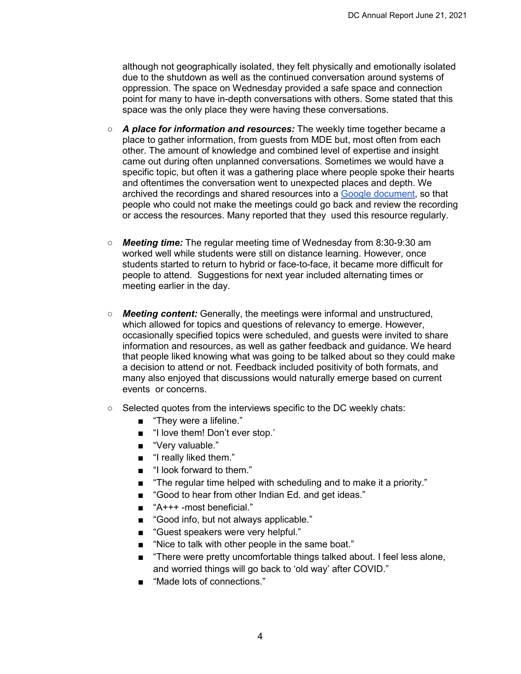although not geographically isolated, they felt physically and emotionally isolated due to the shutdown as well as the continued conversation around systems of oppression. The space on Wednesday provided a safe space and connection point for many to have in-depth conversations with others. Some stated that this space was the only place they were having these conversations.

- *A place for information and resources:* The weekly time together became a place to gather information, from guests from MDE but, most often from each other. The amount of knowledge and combined level of expertise and insight came out during often unplanned conversations. Sometimes we would have a specific topic, but often it was a gathering place where people spoke their hearts and oftentimes the conversation went to unexpected places and depth. We archived the recordings and shared resources into a [Google document,](https://docs.google.com/document/d/18Yd3C9EcOqt06QN9guM8Pj_9Oe3oDdpbailQHcsPyfU/edit?usp=sharing) so that people who could not make the meetings could go back and review the recording or access the resources. Many reported that they used this resource regularly.
- *Meeting time:* The regular meeting time of Wednesday from 8:30-9:30 am worked well while students were still on distance learning. However, once students started to return to hybrid or face-to-face, it became more difficult for people to attend. Suggestions for next year included alternating times or meeting earlier in the day.
- *Meeting content:* Generally, the meetings were informal and unstructured, which allowed for topics and questions of relevancy to emerge. However, occasionally specified topics were scheduled, and guests were invited to share information and resources, as well as gather feedback and guidance. We heard that people liked knowing what was going to be talked about so they could make a decision to attend or not. Feedback included positivity of both formats, and many also enjoyed that discussions would naturally emerge based on current events or concerns.
- <span id="page-3-0"></span>○ Selected quotes from the interviews specific to the DC weekly chats:
	- "They were a lifeline."
	- "I love them! Don't ever stop.'
	- "Very valuable."
	- "I really liked them."
	- "I look forward to them."
	- "The regular time helped with scheduling and to make it a priority."
	- "Good to hear from other Indian Ed. and get ideas."
	- "A+++ -most beneficial."
	- "Good info, but not always applicable."
	- "Guest speakers were very helpful."
	- "Nice to talk with other people in the same boat."
	- "There were pretty uncomfortable things talked about. I feel less alone, and worried things will go back to 'old way' after COVID."
	- "Made lots of connections."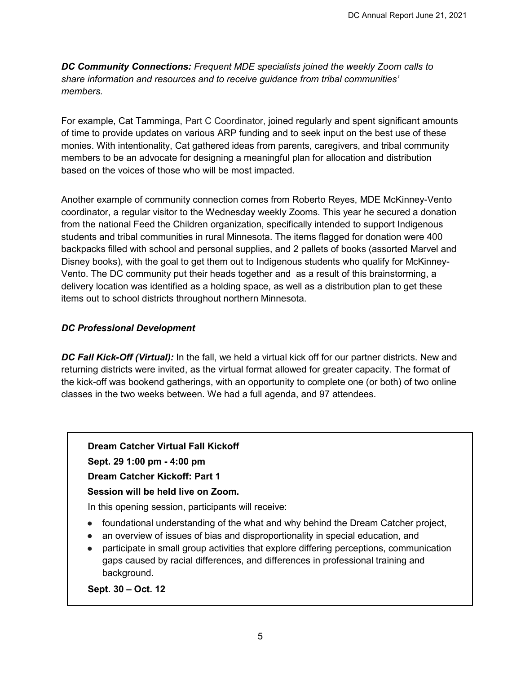*DC Community Connections: Frequent MDE specialists joined the weekly Zoom calls to share information and resources and to receive guidance from tribal communities' members.*

For example, Cat Tamminga, Part C Coordinator, joined regularly and spent significant amounts of time to provide updates on various ARP funding and to seek input on the best use of these monies. With intentionality, Cat gathered ideas from parents, caregivers, and tribal community members to be an advocate for designing a meaningful plan for allocation and distribution based on the voices of those who will be most impacted.

Another example of community connection comes from Roberto Reyes, MDE McKinney-Vento coordinator, a regular visitor to the Wednesday weekly Zooms. This year he secured a donation from the national Feed the Children organization, specifically intended to support Indigenous students and tribal communities in rural Minnesota. The items flagged for donation were 400 backpacks filled with school and personal supplies, and 2 pallets of books (assorted Marvel and Disney books), with the goal to get them out to Indigenous students who qualify for McKinney-Vento. The DC community put their heads together and as a result of this brainstorming, a delivery location was identified as a holding space, as well as a distribution plan to get these items out to school districts throughout northern Minnesota.

## <span id="page-4-1"></span><span id="page-4-0"></span>*DC Professional Development*

*DC Fall Kick-Off (Virtual):* In the fall, we held a virtual kick off for our partner districts. New and returning districts were invited, as the virtual format allowed for greater capacity. The format of the kick-off was bookend gatherings, with an opportunity to complete one (or both) of two online classes in the two weeks between. We had a full agenda, and 97 attendees.

#### **Dream Catcher Virtual Fall Kickoff**

**Sept. 29 1:00 pm - 4:00 pm** 

**Dream Catcher Kickoff: Part 1**

 **Session will be held live on Zoom.**

In this opening session, participants will receive:

- foundational understanding of the what and why behind the Dream Catcher project,
- an overview of issues of bias and disproportionality in special education, and
- participate in small group activities that explore differing perceptions, communication gaps caused by racial differences, and differences in professional training and background.

**Sept. 30 – Oct. 12**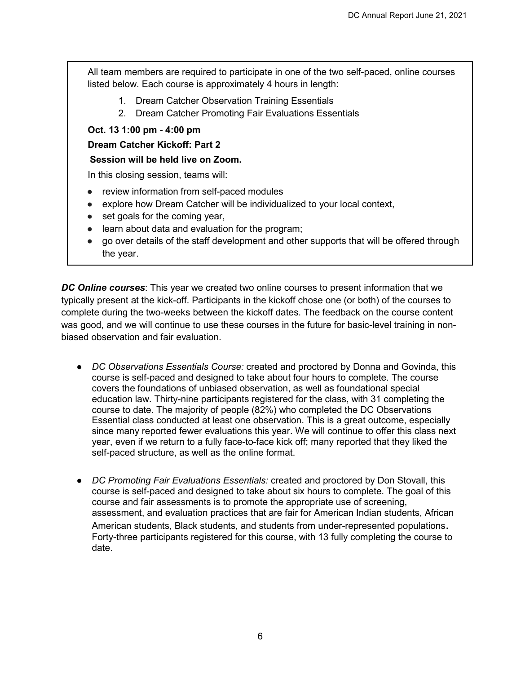All team members are required to participate in one of the two self-paced, online courses listed below. Each course is approximately 4 hours in length:

- 1. Dream Catcher Observation Training Essentials
- 2. Dream Catcher Promoting Fair Evaluations Essentials

#### **Oct. 13 1:00 pm - 4:00 pm**

#### **Dream Catcher Kickoff: Part 2**

### **Session will be held live on Zoom.**

In this closing session, teams will:

- review information from self-paced modules
- explore how Dream Catcher will be individualized to your local context,
- set goals for the coming year,
- learn about data and evaluation for the program;
- go over details of the staff development and other supports that will be offered through the year.

<span id="page-5-0"></span>*DC Online courses*: This year we created two online courses to present information that we typically present at the kick-off. Participants in the kickoff chose one (or both) of the courses to complete during the two-weeks between the kickoff dates. The feedback on the course content was good, and we will continue to use these courses in the future for basic-level training in nonbiased observation and fair evaluation.

- *DC Observations Essentials Course:* created and proctored by Donna and Govinda, this course is self-paced and designed to take about four hours to complete. The course covers the foundations of unbiased observation, as well as foundational special education law. Thirty-nine participants registered for the class, with 31 completing the course to date. The majority of people (82%) who completed the DC Observations Essential class conducted at least one observation. This is a great outcome, especially since many reported fewer evaluations this year. We will continue to offer this class next year, even if we return to a fully face-to-face kick off; many reported that they liked the self-paced structure, as well as the online format.
- *DC Promoting Fair Evaluations Essentials:* created and proctored by Don Stovall, this course is self-paced and designed to take about six hours to complete. The goal of this course and fair assessments is to promote the appropriate use of screening, assessment, and evaluation practices that are fair for American Indian students, African American students, Black students, and students from under-represented populations.<br>Forty-three participants registered for this course, with 13 fully completing the course to date.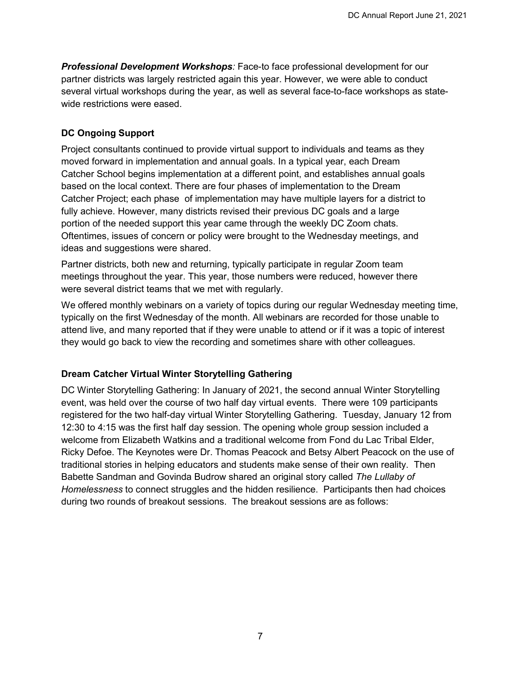<span id="page-6-0"></span>**Professional Development Workshops:** Face-to face professional development for our partner districts was largely restricted again this year. However, we were able to conduct several virtual workshops during the year, as well as several face-to-face workshops as statewide restrictions were eased.

## <span id="page-6-1"></span>**DC Ongoing Support**

Project consultants continued to provide virtual support to individuals and teams as they moved forward in implementation and annual goals. In a typical year, each Dream Catcher School begins implementation at a different point, and establishes annual goals based on the local context. There are four phases of implementation to the Dream Catcher Project; each phase of implementation may have multiple layers for a district to fully achieve. However, many districts revised their previous DC goals and a large portion of the needed support this year came through the weekly DC Zoom chats. Oftentimes, issues of concern or policy were brought to the Wednesday meetings, and ideas and suggestions were shared.

Partner districts, both new and returning, typically participate in regular Zoom team meetings throughout the year. This year, those numbers were reduced, however there were several district teams that we met with regularly.

We offered monthly webinars on a variety of topics during our regular Wednesday meeting time, typically on the first Wednesday of the month. All webinars are recorded for those unable to attend live, and many reported that if they were unable to attend or if it was a topic of interest they would go back to view the recording and sometimes share with other colleagues.

#### <span id="page-6-2"></span>**Dream Catcher Virtual Winter Storytelling Gathering**

DC Winter Storytelling Gathering: In January of 2021, the second annual Winter Storytelling event, was held over the course of two half day virtual events. There were 109 participants registered for the two half-day virtual Winter Storytelling Gathering. Tuesday, January 12 from 12:30 to 4:15 was the first half day session. The opening whole group session included a welcome from Elizabeth Watkins and a traditional welcome from Fond du Lac Tribal Elder, Ricky Defoe. The Keynotes were Dr. Thomas Peacock and Betsy Albert Peacock on the use of traditional stories in helping educators and students make sense of their own reality. Then Babette Sandman and Govinda Budrow shared an original story called *The Lullaby of Homelessness* to connect struggles and the hidden resilience. Participants then had choices during two rounds of breakout sessions. The breakout sessions are as follows: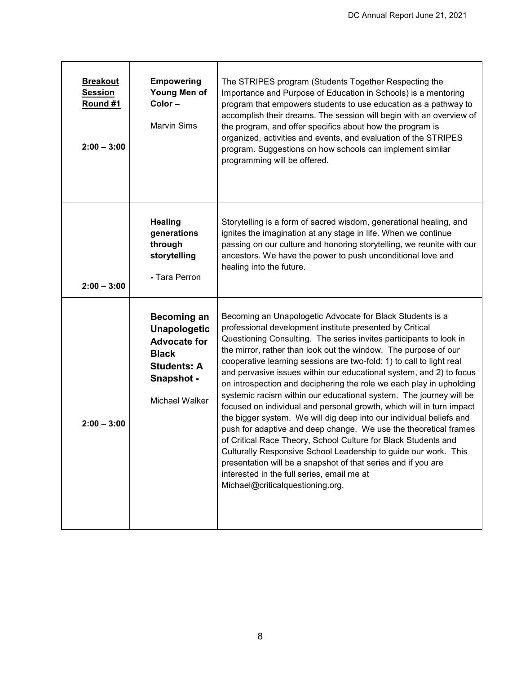| <b>Breakout</b><br><b>Session</b><br>Round #1<br>$2:00 - 3:00$ | <b>Empowering</b><br>Young Men of<br>Color-<br><b>Marvin Sims</b>                                                                      | The STRIPES program (Students Together Respecting the<br>Importance and Purpose of Education in Schools) is a mentoring<br>program that empowers students to use education as a pathway to<br>accomplish their dreams. The session will begin with an overview of<br>the program, and offer specifics about how the program is<br>organized, activities and events, and evaluation of the STRIPES<br>program. Suggestions on how schools can implement similar<br>programming will be offered.                                                                                                                                                                                                                                                                                                                                                                                                                                                                                                                                                                        |
|----------------------------------------------------------------|----------------------------------------------------------------------------------------------------------------------------------------|-----------------------------------------------------------------------------------------------------------------------------------------------------------------------------------------------------------------------------------------------------------------------------------------------------------------------------------------------------------------------------------------------------------------------------------------------------------------------------------------------------------------------------------------------------------------------------------------------------------------------------------------------------------------------------------------------------------------------------------------------------------------------------------------------------------------------------------------------------------------------------------------------------------------------------------------------------------------------------------------------------------------------------------------------------------------------|
| $2:00 - 3:00$                                                  | <b>Healing</b><br>generations<br>through<br>storytelling<br>- Tara Perron                                                              | Storytelling is a form of sacred wisdom, generational healing, and<br>ignites the imagination at any stage in life. When we continue<br>passing on our culture and honoring storytelling, we reunite with our<br>ancestors. We have the power to push unconditional love and<br>healing into the future.                                                                                                                                                                                                                                                                                                                                                                                                                                                                                                                                                                                                                                                                                                                                                              |
| $2:00 - 3:00$                                                  | <b>Becoming an</b><br><b>Unapologetic</b><br><b>Advocate for</b><br><b>Black</b><br><b>Students: A</b><br>Snapshot -<br>Michael Walker | Becoming an Unapologetic Advocate for Black Students is a<br>professional development institute presented by Critical<br>Questioning Consulting. The series invites participants to look in<br>the mirror, rather than look out the window. The purpose of our<br>cooperative learning sessions are two-fold: 1) to call to light real<br>and pervasive issues within our educational system, and 2) to focus<br>on introspection and deciphering the role we each play in upholding<br>systemic racism within our educational system. The journey will be<br>focused on individual and personal growth, which will in turn impact<br>the bigger system. We will dig deep into our individual beliefs and<br>push for adaptive and deep change. We use the theoretical frames<br>of Critical Race Theory, School Culture for Black Students and<br>Culturally Responsive School Leadership to guide our work. This<br>presentation will be a snapshot of that series and if you are<br>interested in the full series, email me at<br>Michael@criticalquestioning.org. |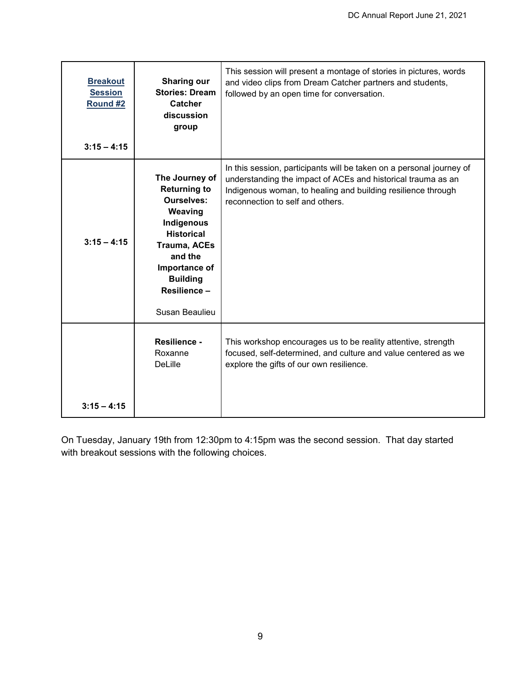| <b>Breakout</b><br><b>Session</b><br>Round #2<br>$3:15 - 4:15$ | <b>Sharing our</b><br><b>Stories: Dream</b><br>Catcher<br>discussion<br>group                                                                                                                                   | This session will present a montage of stories in pictures, words<br>and video clips from Dream Catcher partners and students,<br>followed by an open time for conversation.                                                             |
|----------------------------------------------------------------|-----------------------------------------------------------------------------------------------------------------------------------------------------------------------------------------------------------------|------------------------------------------------------------------------------------------------------------------------------------------------------------------------------------------------------------------------------------------|
| $3:15 - 4:15$                                                  | The Journey of<br><b>Returning to</b><br><b>Ourselves:</b><br>Weaving<br>Indigenous<br><b>Historical</b><br><b>Trauma, ACEs</b><br>and the<br>Importance of<br><b>Building</b><br>Resilience-<br>Susan Beaulieu | In this session, participants will be taken on a personal journey of<br>understanding the impact of ACEs and historical trauma as an<br>Indigenous woman, to healing and building resilience through<br>reconnection to self and others. |
|                                                                | Resilience -<br>Roxanne<br><b>DeLille</b>                                                                                                                                                                       | This workshop encourages us to be reality attentive, strength<br>focused, self-determined, and culture and value centered as we<br>explore the gifts of our own resilience.                                                              |
| $3:15 - 4:15$                                                  |                                                                                                                                                                                                                 |                                                                                                                                                                                                                                          |

On Tuesday, January 19th from 12:30pm to 4:15pm was the second session. That day started with breakout sessions with the following choices.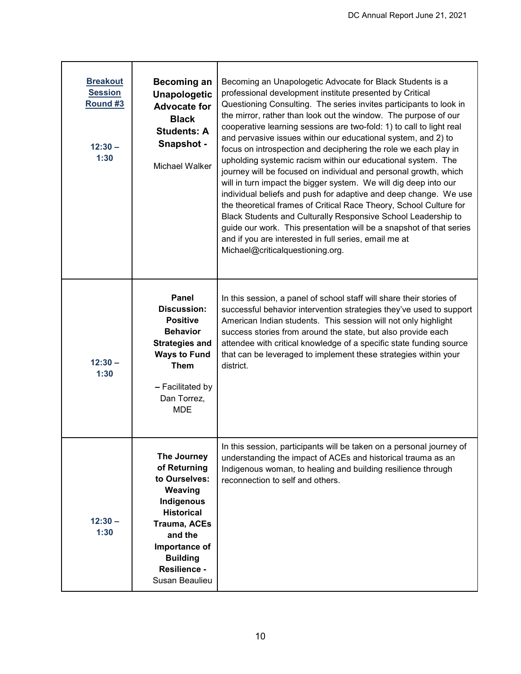| <b>Breakout</b><br><b>Session</b><br>Round #3<br>$12:30 -$<br>1:30 | <b>Becoming an</b><br><b>Unapologetic</b><br><b>Advocate for</b><br><b>Black</b><br><b>Students: A</b><br>Snapshot -<br>Michael Walker                                                             | Becoming an Unapologetic Advocate for Black Students is a<br>professional development institute presented by Critical<br>Questioning Consulting. The series invites participants to look in<br>the mirror, rather than look out the window. The purpose of our<br>cooperative learning sessions are two-fold: 1) to call to light real<br>and pervasive issues within our educational system, and 2) to<br>focus on introspection and deciphering the role we each play in<br>upholding systemic racism within our educational system. The<br>journey will be focused on individual and personal growth, which<br>will in turn impact the bigger system. We will dig deep into our<br>individual beliefs and push for adaptive and deep change. We use<br>the theoretical frames of Critical Race Theory, School Culture for<br>Black Students and Culturally Responsive School Leadership to<br>guide our work. This presentation will be a snapshot of that series<br>and if you are interested in full series, email me at<br>Michael@criticalquestioning.org. |
|--------------------------------------------------------------------|----------------------------------------------------------------------------------------------------------------------------------------------------------------------------------------------------|-------------------------------------------------------------------------------------------------------------------------------------------------------------------------------------------------------------------------------------------------------------------------------------------------------------------------------------------------------------------------------------------------------------------------------------------------------------------------------------------------------------------------------------------------------------------------------------------------------------------------------------------------------------------------------------------------------------------------------------------------------------------------------------------------------------------------------------------------------------------------------------------------------------------------------------------------------------------------------------------------------------------------------------------------------------------|
| $12:30 -$<br>1:30                                                  | Panel<br><b>Discussion:</b><br><b>Positive</b><br><b>Behavior</b><br><b>Strategies and</b><br><b>Ways to Fund</b><br><b>Them</b><br>- Facilitated by<br>Dan Torrez,<br><b>MDE</b>                  | In this session, a panel of school staff will share their stories of<br>successful behavior intervention strategies they've used to support<br>American Indian students. This session will not only highlight<br>success stories from around the state, but also provide each<br>attendee with critical knowledge of a specific state funding source<br>that can be leveraged to implement these strategies within your<br>district.                                                                                                                                                                                                                                                                                                                                                                                                                                                                                                                                                                                                                              |
| $12:30 -$<br>1:30                                                  | The Journey<br>of Returning<br>to Ourselves:<br>Weaving<br>Indigenous<br><b>Historical</b><br><b>Trauma, ACEs</b><br>and the<br>Importance of<br><b>Building</b><br>Resilience -<br>Susan Beaulieu | In this session, participants will be taken on a personal journey of<br>understanding the impact of ACEs and historical trauma as an<br>Indigenous woman, to healing and building resilience through<br>reconnection to self and others.                                                                                                                                                                                                                                                                                                                                                                                                                                                                                                                                                                                                                                                                                                                                                                                                                          |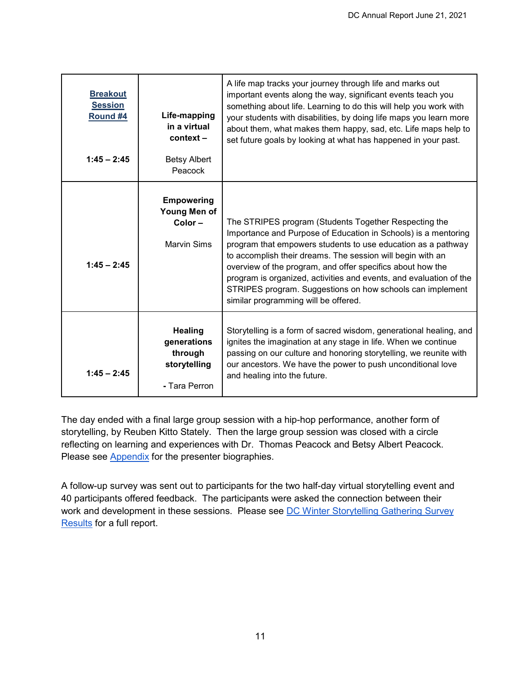| <b>Breakout</b><br><b>Session</b><br>Round #4<br>$1:45 - 2:45$ | Life-mapping<br>in a virtual<br>context –<br><b>Betsy Albert</b><br>Peacock | A life map tracks your journey through life and marks out<br>important events along the way, significant events teach you<br>something about life. Learning to do this will help you work with<br>your students with disabilities, by doing life maps you learn more<br>about them, what makes them happy, sad, etc. Life maps help to<br>set future goals by looking at what has happened in your past.                                                                                       |
|----------------------------------------------------------------|-----------------------------------------------------------------------------|------------------------------------------------------------------------------------------------------------------------------------------------------------------------------------------------------------------------------------------------------------------------------------------------------------------------------------------------------------------------------------------------------------------------------------------------------------------------------------------------|
| $1:45 - 2:45$                                                  | <b>Empowering</b><br>Young Men of<br>$Color -$<br>Marvin Sims               | The STRIPES program (Students Together Respecting the<br>Importance and Purpose of Education in Schools) is a mentoring<br>program that empowers students to use education as a pathway<br>to accomplish their dreams. The session will begin with an<br>overview of the program, and offer specifics about how the<br>program is organized, activities and events, and evaluation of the<br>STRIPES program. Suggestions on how schools can implement<br>similar programming will be offered. |
| $1:45 - 2:45$                                                  | Healing<br>generations<br>through<br>storytelling<br>- Tara Perron          | Storytelling is a form of sacred wisdom, generational healing, and<br>ignites the imagination at any stage in life. When we continue<br>passing on our culture and honoring storytelling, we reunite with<br>our ancestors. We have the power to push unconditional love<br>and healing into the future.                                                                                                                                                                                       |

The day ended with a final large group session with a hip-hop performance, another form of storytelling, by Reuben Kitto Stately. Then the large group session was closed with a circle reflecting on learning and experiences with Dr. Thomas Peacock and Betsy Albert Peacock. Please see **Appendix** for the presenter biographies.

A follow-up survey was sent out to participants for the two half-day virtual storytelling event and 40 participants offered feedback. The participants were asked the connection between their work and development in these sessions. Please see [DC Winter Storytelling Gathering Survey](https://drive.google.com/file/d/1ANSRsjsHXsWgwEEMmd7mAw3czjjx83eM/view?usp=sharing)  [Results](https://drive.google.com/file/d/1ANSRsjsHXsWgwEEMmd7mAw3czjjx83eM/view?usp=sharing) for a full report.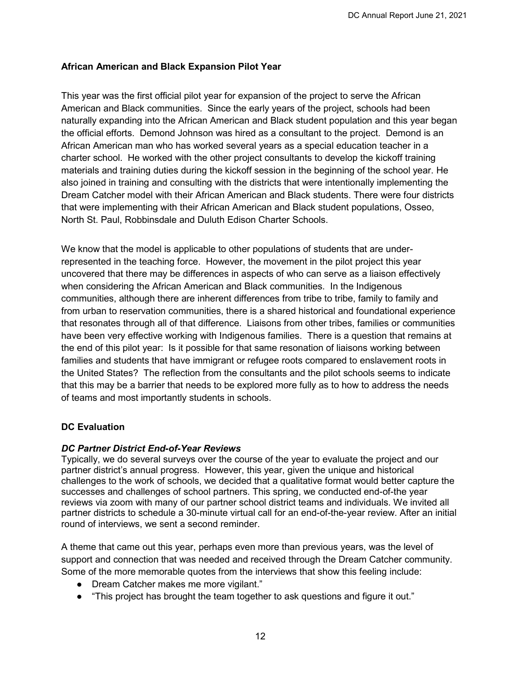## <span id="page-11-0"></span>**African American and Black Expansion Pilot Year**

This year was the first official pilot year for expansion of the project to serve the African American and Black communities. Since the early years of the project, schools had been naturally expanding into the African American and Black student population and this year began the official efforts. Demond Johnson was hired as a consultant to the project. Demond is an African American man who has worked several years as a special education teacher in a charter school. He worked with the other project consultants to develop the kickoff training materials and training duties during the kickoff session in the beginning of the school year. He also joined in training and consulting with the districts that were intentionally implementing the Dream Catcher model with their African American and Black students. There were four districts that were implementing with their African American and Black student populations, Osseo, North St. Paul, Robbinsdale and Duluth Edison Charter Schools.

We know that the model is applicable to other populations of students that are underrepresented in the teaching force. However, the movement in the pilot project this year uncovered that there may be differences in aspects of who can serve as a liaison effectively when considering the African American and Black communities. In the Indigenous communities, although there are inherent differences from tribe to tribe, family to family and from urban to reservation communities, there is a shared historical and foundational experience that resonates through all of that difference. Liaisons from other tribes, families or communities have been very effective working with Indigenous families. There is a question that remains at the end of this pilot year: Is it possible for that same resonation of liaisons working between families and students that have immigrant or refugee roots compared to enslavement roots in the United States? The reflection from the consultants and the pilot schools seems to indicate that this may be a barrier that needs to be explored more fully as to how to address the needs of teams and most importantly students in schools.

#### <span id="page-11-1"></span>**DC Evaluation**

#### <span id="page-11-2"></span>*DC Partner District End-of-Year Reviews*

Typically, we do several surveys over the course of the year to evaluate the project and our partner district's annual progress. However, this year, given the unique and historical challenges to the work of schools, we decided that a qualitative format would better capture the successes and challenges of school partners. This spring, we conducted end-of-the year reviews via zoom with many of our partner school district teams and individuals. We invited all partner districts to schedule a 30-minute virtual call for an end-of-the-year review. After an initial round of interviews, we sent a second reminder.

A theme that came out this year, perhaps even more than previous years, was the level of support and connection that was needed and received through the Dream Catcher community. Some of the more memorable quotes from the interviews that show this feeling include:

- Dream Catcher makes me more vigilant."
- "This project has brought the team together to ask questions and figure it out."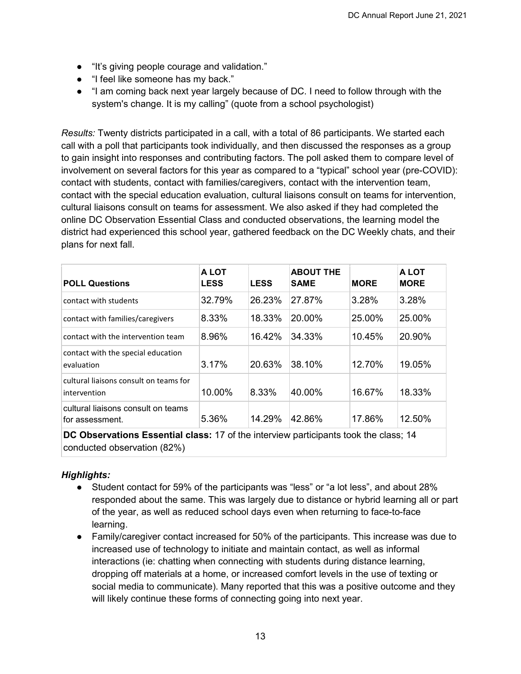- "It's giving people courage and validation."
- "I feel like someone has my back."
- "I am coming back next year largely because of DC. I need to follow through with the system's change. It is my calling" (quote from a school psychologist)

*Results:* Twenty districts participated in a call, with a total of 86 participants. We started each call with a poll that participants took individually, and then discussed the responses as a group to gain insight into responses and contributing factors. The poll asked them to compare level of involvement on several factors for this year as compared to a "typical" school year (pre-COVID): contact with students, contact with families/caregivers, contact with the intervention team, contact with the special education evaluation, cultural liaisons consult on teams for intervention, cultural liaisons consult on teams for assessment. We also asked if they had completed the online DC Observation Essential Class and conducted observations, the learning model the district had experienced this school year, gathered feedback on the DC Weekly chats, and their plans for next fall.

| <b>POLL Questions</b>                                                                | <b>ALOT</b><br><b>LESS</b> | <b>LESS</b> | <b>ABOUT THE</b><br><b>SAME</b> | <b>MORE</b> | A LOT<br><b>MORE</b> |
|--------------------------------------------------------------------------------------|----------------------------|-------------|---------------------------------|-------------|----------------------|
| contact with students                                                                | 32.79%                     | 26.23%      | 27.87%                          | 3.28%       | 3.28%                |
| contact with families/caregivers                                                     | 8.33%                      | 18.33%      | 20.00%                          | 25.00%      | 25.00%               |
| contact with the intervention team                                                   | 8.96%                      | 16.42%      | 34.33%                          | 10.45%      | 20.90%               |
| contact with the special education<br>evaluation                                     | 3.17%                      | 20.63%      | 38.10%                          | 12.70%      | 19.05%               |
| cultural liaisons consult on teams for<br>intervention                               | 10.00%                     | 8.33%       | 40.00%                          | 16.67%      | 18.33%               |
| cultural liaisons consult on teams<br>for assessment.                                | 5.36%                      | 14.29%      | 42.86%                          | 17.86%      | 12.50%               |
| DC Observations Essential class: 17 of the interview participants took the class; 14 |                            |             |                                 |             |                      |

conducted observation (82%)

# *Highlights:*

- Student contact for 59% of the participants was "less" or "a lot less", and about 28% responded about the same. This was largely due to distance or hybrid learning all or part of the year, as well as reduced school days even when returning to face-to-face learning.
- Family/caregiver contact increased for 50% of the participants. This increase was due to increased use of technology to initiate and maintain contact, as well as informal interactions (ie: chatting when connecting with students during distance learning, dropping off materials at a home, or increased comfort levels in the use of texting or social media to communicate). Many reported that this was a positive outcome and they will likely continue these forms of connecting going into next year.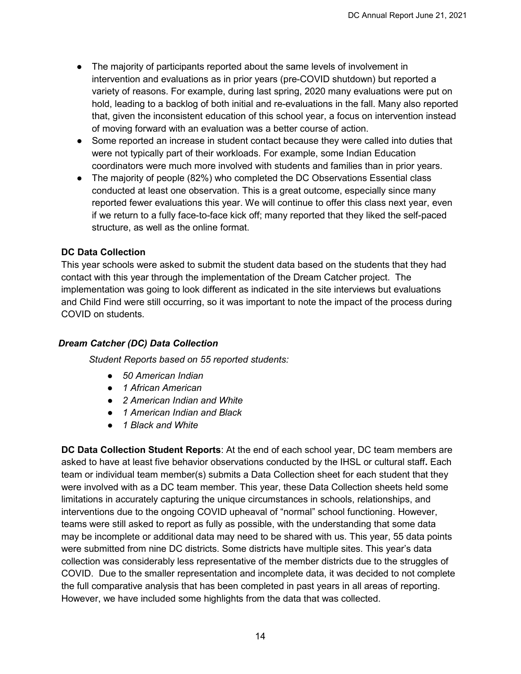- The majority of participants reported about the same levels of involvement in intervention and evaluations as in prior years (pre-COVID shutdown) but reported a variety of reasons. For example, during last spring, 2020 many evaluations were put on hold, leading to a backlog of both initial and re-evaluations in the fall. Many also reported that, given the inconsistent education of this school year, a focus on intervention instead of moving forward with an evaluation was a better course of action.
- Some reported an increase in student contact because they were called into duties that were not typically part of their workloads. For example, some Indian Education coordinators were much more involved with students and families than in prior years.
- The majority of people (82%) who completed the DC Observations Essential class conducted at least one observation. This is a great outcome, especially since many reported fewer evaluations this year. We will continue to offer this class next year, even if we return to a fully face-to-face kick off; many reported that they liked the self-paced structure, as well as the online format.

## <span id="page-13-0"></span>**DC Data Collection**

This year schools were asked to submit the student data based on the students that they had contact with this year through the implementation of the Dream Catcher project. The implementation was going to look different as indicated in the site interviews but evaluations and Child Find were still occurring, so it was important to note the impact of the process during COVID on students.

#### *Dream Catcher (DC) Data Collection*

*Student Reports based on 55 reported students:* 

- *50 American Indian*
- *1 African American*
- *2 American Indian and White*
- *1 American Indian and Black*
- *1 Black and White*

**DC Data Collection Student Reports**: At the end of each school year, DC team members are asked to have at least five behavior observations conducted by the IHSL or cultural staff**.** Each team or individual team member(s) submits a Data Collection sheet for each student that they were involved with as a DC team member. This year, these Data Collection sheets held some limitations in accurately capturing the unique circumstances in schools, relationships, and interventions due to the ongoing COVID upheaval of "normal" school functioning. However, teams were still asked to report as fully as possible, with the understanding that some data may be incomplete or additional data may need to be shared with us. This year, 55 data points were submitted from nine DC districts. Some districts have multiple sites. This year's data collection was considerably less representative of the member districts due to the struggles of COVID. Due to the smaller representation and incomplete data, it was decided to not complete the full comparative analysis that has been completed in past years in all areas of reporting. However, we have included some highlights from the data that was collected.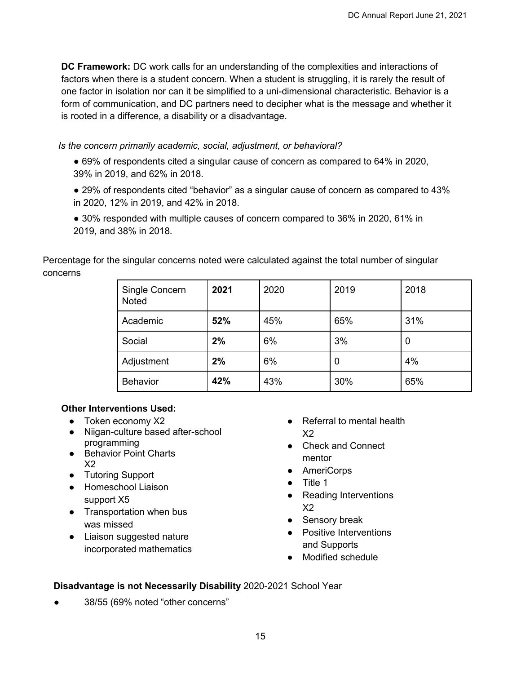**DC Framework:** DC work calls for an understanding of the complexities and interactions of factors when there is a student concern. When a student is struggling, it is rarely the result of one factor in isolation nor can it be simplified to a uni-dimensional characteristic. Behavior is a form of communication, and DC partners need to decipher what is the message and whether it is rooted in a difference, a disability or a disadvantage.

*Is the concern primarily academic, social, adjustment, or behavioral?* 

● 69% of respondents cited a singular cause of concern as compared to 64% in 2020, 39% in 2019, and 62% in 2018.

● 29% of respondents cited "behavior" as a singular cause of concern as compared to 43% in 2020, 12% in 2019, and 42% in 2018.

● 30% responded with multiple causes of concern compared to 36% in 2020, 61% in 2019, and 38% in 2018.

Percentage for the singular concerns noted were calculated against the total number of singular concerns

| Single Concern<br>Noted | 2021 | 2020 | 2019 | 2018 |
|-------------------------|------|------|------|------|
| Academic                | 52%  | 45%  | 65%  | 31%  |
| Social                  | 2%   | 6%   | 3%   |      |
| Adjustment              | 2%   | 6%   | 0    | 4%   |
| <b>Behavior</b>         | 42%  | 43%  | 30%  | 65%  |

#### **Other Interventions Used:**

- Token economy X2
- Niigan-culture based after-school programming
- Behavior Point Charts X2
- Tutoring Support
- Homeschool Liaison support X5
- Transportation when bus was missed
- Liaison suggested nature incorporated mathematics
- Referral to mental health  $X<sub>2</sub>$
- Check and Connect mentor
- AmeriCorps
- Title 1
- Reading Interventions X2
- Sensory break
- Positive Interventions and Supports
- Modified schedule

# **Disadvantage is not Necessarily Disability** 2020-2021 School Year

38/55 (69% noted "other concerns"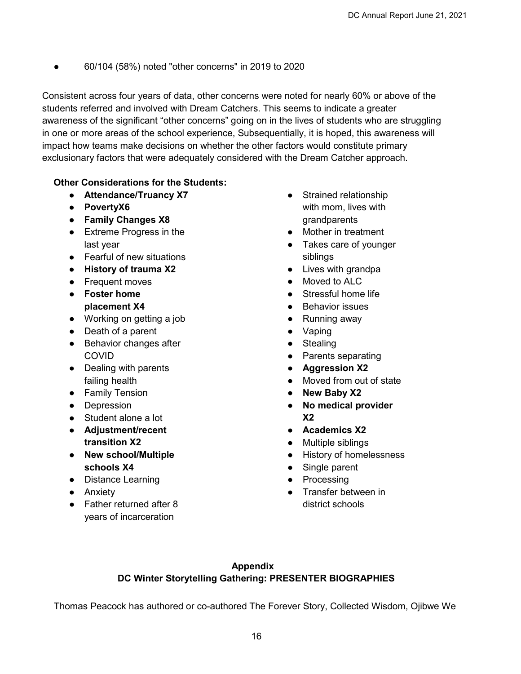● 60/104 (58%) noted "other concerns" in 2019 to 2020

Consistent across four years of data, other concerns were noted for nearly 60% or above of the students referred and involved with Dream Catchers. This seems to indicate a greater awareness of the significant "other concerns" going on in the lives of students who are struggling in one or more areas of the school experience, Subsequentially, it is hoped, this awareness will impact how teams make decisions on whether the other factors would constitute primary exclusionary factors that were adequately considered with the Dream Catcher approach.

## **Other Considerations for the Students:**

- **Attendance/Truancy X7**
- **PovertyX6**
- **Family Changes X8**
- Extreme Progress in the last year
- Fearful of new situations
- **History of trauma X2**
- Frequent moves
- **Foster home placement X4**
- Working on getting a job
- Death of a parent
- Behavior changes after COVID
- Dealing with parents failing health
- Family Tension
- Depression
- Student alone a lot
- **Adjustment/recent transition X2**
- **New school/Multiple schools X4**
- Distance Learning
- Anxiety
- Father returned after 8 years of incarceration
- Strained relationship with mom, lives with grandparents
- Mother in treatment
- Takes care of vounger siblings
- Lives with grandpa
- Moved to ALC
- Stressful home life
- Behavior issues
- Running away
- Vaping
- Stealing
- Parents separating
- **Aggression X2**
- Moved from out of state
- **New Baby X2**
- **No medical provider X2**
- **Academics X2**
- Multiple siblings
- History of homelessness
- Single parent
- Processing
- <span id="page-15-0"></span>● Transfer between in district schools

# **Appendix DC Winter Storytelling Gathering: PRESENTER BIOGRAPHIES**

Thomas Peacock has authored or co-authored The Forever Story, Collected Wisdom, Ojibwe We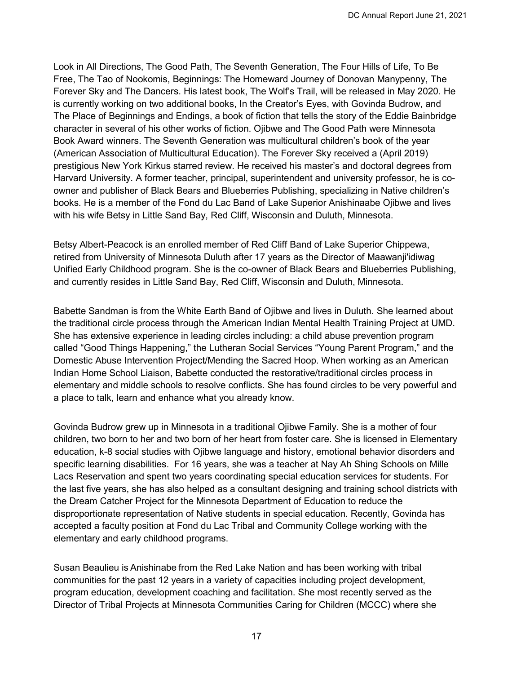Look in All Directions, The Good Path, The Seventh Generation, The Four Hills of Life, To Be Free, The Tao of Nookomis, Beginnings: The Homeward Journey of Donovan Manypenny, The Forever Sky and The Dancers. His latest book, The Wolf's Trail, will be released in May 2020. He is currently working on two additional books, In the Creator's Eyes, with Govinda Budrow, and The Place of Beginnings and Endings, a book of fiction that tells the story of the Eddie Bainbridge character in several of his other works of fiction. Ojibwe and The Good Path were Minnesota Book Award winners. The Seventh Generation was multicultural children's book of the year (American Association of Multicultural Education). The Forever Sky received a (April 2019) prestigious New York Kirkus starred review. He received his master's and doctoral degrees from Harvard University. A former teacher, principal, superintendent and university professor, he is coowner and publisher of Black Bears and Blueberries Publishing, specializing in Native children's books. He is a member of the Fond du Lac Band of Lake Superior Anishinaabe Ojibwe and lives with his wife Betsy in Little Sand Bay, Red Cliff, Wisconsin and Duluth, Minnesota.

Betsy Albert-Peacock is an enrolled member of Red Cliff Band of Lake Superior Chippewa, retired from University of Minnesota Duluth after 17 years as the Director of Maawanji'idiwag Unified Early Childhood program. She is the co-owner of Black Bears and Blueberries Publishing, and currently resides in Little Sand Bay, Red Cliff, Wisconsin and Duluth, Minnesota.

Babette Sandman is from the White Earth Band of Ojibwe and lives in Duluth. She learned about the traditional circle process through the American Indian Mental Health Training Project at UMD. She has extensive experience in leading circles including: a child abuse prevention program called "Good Things Happening," the Lutheran Social Services "Young Parent Program," and the Domestic Abuse Intervention Project/Mending the Sacred Hoop. When working as an American Indian Home School Liaison, Babette conducted the restorative/traditional circles process in elementary and middle schools to resolve conflicts. She has found circles to be very powerful and a place to talk, learn and enhance what you already know.

Govinda Budrow grew up in Minnesota in a traditional Ojibwe Family. She is a mother of four children, two born to her and two born of her heart from foster care. She is licensed in Elementary education, k-8 social studies with Ojibwe language and history, emotional behavior disorders and specific learning disabilities. For 16 years, she was a teacher at Nay Ah Shing Schools on Mille Lacs Reservation and spent two years coordinating special education services for students. For the last five years, she has also helped as a consultant designing and training school districts with the Dream Catcher Project for the Minnesota Department of Education to reduce the disproportionate representation of Native students in special education. Recently, Govinda has accepted a faculty position at Fond du Lac Tribal and Community College working with the elementary and early childhood programs.

Susan Beaulieu is Anishinabe from the Red Lake Nation and has been working with tribal communities for the past 12 years in a variety of capacities including project development, program education, development coaching and facilitation. She most recently served as the Director of Tribal Projects at Minnesota Communities Caring for Children (MCCC) where she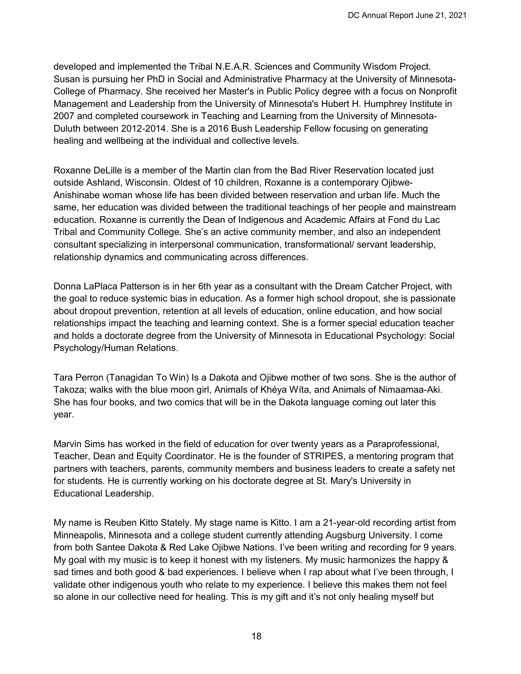developed and implemented the Tribal N.E.A.R. Sciences and Community Wisdom Project. Susan is pursuing her PhD in Social and Administrative Pharmacy at the University of Minnesota-College of Pharmacy. She received her Master's in Public Policy degree with a focus on Nonprofit Management and Leadership from the University of Minnesota's Hubert H. Humphrey Institute in 2007 and completed coursework in Teaching and Learning from the University of Minnesota-Duluth between 2012-2014. She is a 2016 Bush Leadership Fellow focusing on generating healing and wellbeing at the individual and collective levels. 

Roxanne DeLille is a member of the Martin clan from the Bad River Reservation located just outside Ashland, Wisconsin. Oldest of 10 children, Roxanne is a contemporary Ojibwe-Anishinabe woman whose life has been divided between reservation and urban life. Much the same, her education was divided between the traditional teachings of her people and mainstream education. Roxanne is currently the Dean of Indigenous and Academic Affairs at Fond du Lac Tribal and Community College. She's an active community member, and also an independent consultant specializing in interpersonal communication, transformational/ servant leadership, relationship dynamics and communicating across differences.

Donna LaPlaca Patterson is in her 6th year as a consultant with the Dream Catcher Project, with the goal to reduce systemic bias in education. As a former high school dropout, she is passionate about dropout prevention, retention at all levels of education, online education, and how social relationships impact the teaching and learning context. She is a former special education teacher and holds a doctorate degree from the University of Minnesota in Educational Psychology: Social Psychology/Human Relations.

Tara Perron (Tanagidan To Win) Is a Dakota and Ojibwe mother of two sons. She is the author of Takoza; walks with the blue moon girl, Animals of Khéya Wíta, and Animals of Nimaamaa-Aki. She has four books, and two comics that will be in the Dakota language coming out later this year.

Marvin Sims has worked in the field of education for over twenty years as a Paraprofessional, Teacher, Dean and Equity Coordinator. He is the founder of STRIPES, a mentoring program that partners with teachers, parents, community members and business leaders to create a safety net for students. He is currently working on his doctorate degree at St. Mary's University in Educational Leadership.

My name is Reuben Kitto Stately. My stage name is Kitto. I am a 21-year-old recording artist from Minneapolis, Minnesota and a college student currently attending Augsburg University. I come from both Santee Dakota & Red Lake Ojibwe Nations. I've been writing and recording for 9 years. My goal with my music is to keep it honest with my listeners. My music harmonizes the happy & sad times and both good & bad experiences. I believe when I rap about what I've been through, I validate other indigenous youth who relate to my experience. I believe this makes them not feel so alone in our collective need for healing. This is my gift and it's not only healing myself but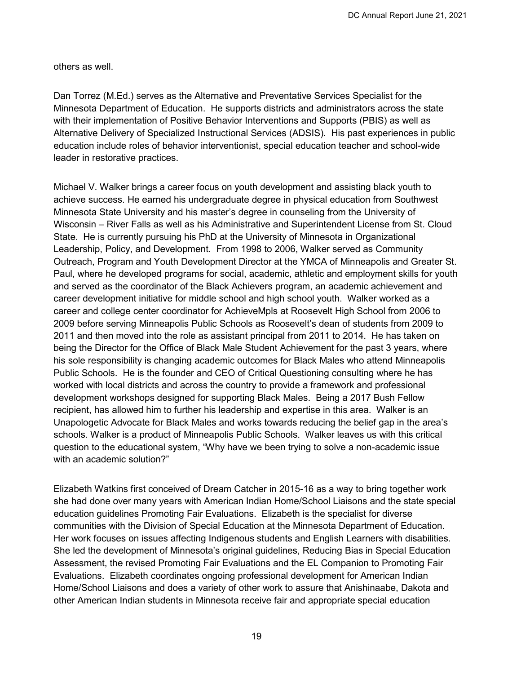others as well.

Dan Torrez (M.Ed.) serves as the Alternative and Preventative Services Specialist for the Minnesota Department of Education. He supports districts and administrators across the state with their implementation of Positive Behavior Interventions and Supports (PBIS) as well as Alternative Delivery of Specialized Instructional Services (ADSIS). His past experiences in public education include roles of behavior interventionist, special education teacher and school-wide leader in restorative practices.

Michael V. Walker brings a career focus on youth development and assisting black youth to achieve success. He earned his undergraduate degree in physical education from Southwest Minnesota State University and his master's degree in counseling from the University of Wisconsin – River Falls as well as his Administrative and Superintendent License from St. Cloud State. He is currently pursuing his PhD at the University of Minnesota in Organizational Leadership, Policy, and Development. From 1998 to 2006, Walker served as Community Outreach, Program and Youth Development Director at the YMCA of Minneapolis and Greater St. Paul, where he developed programs for social, academic, athletic and employment skills for youth and served as the coordinator of the Black Achievers program, an academic achievement and career development initiative for middle school and high school youth. Walker worked as a career and college center coordinator for AchieveMpls at Roosevelt High School from 2006 to 2009 before serving Minneapolis Public Schools as Roosevelt's dean of students from 2009 to 2011 and then moved into the role as assistant principal from 2011 to 2014. He has taken on being the Director for the Office of Black Male Student Achievement for the past 3 years, where his sole responsibility is changing academic outcomes for Black Males who attend Minneapolis Public Schools. He is the founder and CEO of Critical Questioning consulting where he has worked with local districts and across the country to provide a framework and professional development workshops designed for supporting Black Males. Being a 2017 Bush Fellow recipient, has allowed him to further his leadership and expertise in this area. Walker is an Unapologetic Advocate for Black Males and works towards reducing the belief gap in the area's schools. Walker is a product of Minneapolis Public Schools. Walker leaves us with this critical question to the educational system, "Why have we been trying to solve a non-academic issue with an academic solution?"

Elizabeth Watkins first conceived of Dream Catcher in 2015-16 as a way to bring together work she had done over many years with American Indian Home/School Liaisons and the state special education guidelines Promoting Fair Evaluations. Elizabeth is the specialist for diverse communities with the Division of Special Education at the Minnesota Department of Education. Her work focuses on issues affecting Indigenous students and English Learners with disabilities. She led the development of Minnesota's original guidelines, Reducing Bias in Special Education Assessment, the revised Promoting Fair Evaluations and the EL Companion to Promoting Fair Evaluations. Elizabeth coordinates ongoing professional development for American Indian Home/School Liaisons and does a variety of other work to assure that Anishinaabe, Dakota and other American Indian students in Minnesota receive fair and appropriate special education